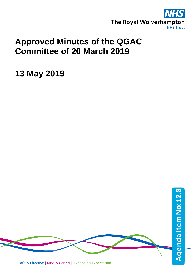

## **Approved Minutes of the QGAC Committee of 20 March 2019**

**13 May 2019**

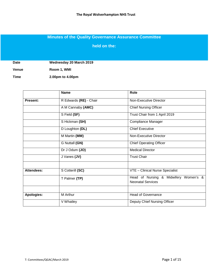## **Minutes of the Quality Governance Assurance Committee**

**held on the:**

**Date Wednesday 20 March 2019**

**Venue Room 1, WMI**

**Time 2.00pm to 4.00pm**

|                   | <b>Name</b>                 | Role                                                              |  |  |  |  |
|-------------------|-----------------------------|-------------------------------------------------------------------|--|--|--|--|
| <b>Present:</b>   | R Edwards (RE) - Chair      | Non-Executive Director                                            |  |  |  |  |
|                   | A M Cannaby (AMC)           | <b>Chief Nursing Officer</b>                                      |  |  |  |  |
|                   | S Field (SF)                | Trust Chair from 1 April 2019                                     |  |  |  |  |
|                   | S Hickman (SH)              | Compliance Manager                                                |  |  |  |  |
|                   | D Loughton (DL)             | <b>Chief Executive</b>                                            |  |  |  |  |
|                   | M Martin (MM)               | Non-Executive Director                                            |  |  |  |  |
|                   | G Nuttall (GN)              | <b>Chief Operating Officer</b>                                    |  |  |  |  |
|                   | $\overline{Dr}$ J Odum (JO) | <b>Medical Director</b>                                           |  |  |  |  |
|                   | J Vanes (JV)                | <b>Trust Chair</b>                                                |  |  |  |  |
|                   |                             |                                                                   |  |  |  |  |
| <b>Attendees:</b> | S Cotterill (SC)            | VTE - Clinical Nurse Specialist                                   |  |  |  |  |
|                   | T Palmer (TP)               | Head of Nursing & Midwifery Women's &<br><b>Neonatal Services</b> |  |  |  |  |
|                   |                             |                                                                   |  |  |  |  |
| Apologies:        | M Arthur                    | <b>Head of Governance</b>                                         |  |  |  |  |
|                   | V Whatley                   | Deputy Chief Nursing Officer                                      |  |  |  |  |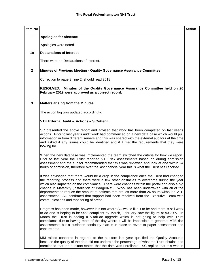| Item No      |                                                                                                                                                                                                                                                                                                                                                                                                                                                                                                                                                                                                                 | <b>Action</b> |
|--------------|-----------------------------------------------------------------------------------------------------------------------------------------------------------------------------------------------------------------------------------------------------------------------------------------------------------------------------------------------------------------------------------------------------------------------------------------------------------------------------------------------------------------------------------------------------------------------------------------------------------------|---------------|
| 1            | <b>Apologies for absence</b>                                                                                                                                                                                                                                                                                                                                                                                                                                                                                                                                                                                    |               |
|              | Apologies were noted.                                                                                                                                                                                                                                                                                                                                                                                                                                                                                                                                                                                           |               |
| 1a           | <b>Declarations of Interest</b>                                                                                                                                                                                                                                                                                                                                                                                                                                                                                                                                                                                 |               |
|              | There were no Declarations of Interest.                                                                                                                                                                                                                                                                                                                                                                                                                                                                                                                                                                         |               |
| $\mathbf{2}$ | <b>Minutes of Previous Meeting - Quality Governance Assurance Committee:</b>                                                                                                                                                                                                                                                                                                                                                                                                                                                                                                                                    |               |
|              | Correction to page 3, line 2, should read 2018                                                                                                                                                                                                                                                                                                                                                                                                                                                                                                                                                                  |               |
|              | RESOLVED: Minutes of the Quality Governance Assurance Committee held on 20<br>February 2019 were approved as a correct record.                                                                                                                                                                                                                                                                                                                                                                                                                                                                                  |               |
| 3            | <b>Matters arising from the Minutes</b>                                                                                                                                                                                                                                                                                                                                                                                                                                                                                                                                                                         |               |
|              | The action log was updated accordingly.                                                                                                                                                                                                                                                                                                                                                                                                                                                                                                                                                                         |               |
|              | <b>VTE External Audit &amp; Actions - S Cotterill</b>                                                                                                                                                                                                                                                                                                                                                                                                                                                                                                                                                           |               |
|              | SC presented the above report and advised that work has been completed on last year's<br>actions. Prior to last year's audit work had commenced on a new data base which would pull<br>information in from different servers and this was shared with the external auditors at the time<br>and asked if any issues could be identified and if it met the requirements that they were<br>looking for.                                                                                                                                                                                                            |               |
|              | When the new database was implemented the team switched the criteria for how we report.<br>Prior to last year the Trust reported VTE risk assessments based on during admission<br>assessment and the auditor recommended that this was reviewed and look at one within 24<br>hours of admission, therefore over the last financial year this is what the Trust has reported.                                                                                                                                                                                                                                   |               |
|              | It was envisaged that there would be a drop in the compliance once the Trust had changed<br>the reporting process and there were a few other obstacles to overcome during the year<br>which also impacted on the compliance. There were changes within the portal and also a big<br>change in Maternity (installation of BadgerNet). Work has been undertaken with all of the<br>departments to reduce the amount of patients that are left more than 24 hours without a VTE<br>assessment. SC confirmed that support had been received from the Executive Team with<br>communications and monitoring of areas. |               |
|              | Progress has been made, however it is not where SC would like it to be and there is still work<br>to do and is hoping to be 95% compliant by March, February saw the figure at 93.79%. In<br>March the Trust is seeing a VitalPac upgrade which is not going to help with Trust<br>compliance due to having most of the day where it will be impossible to generate VTE risk<br>assessments but a business continuity plan is in place to revert to paper assessment and<br>capture data.                                                                                                                       |               |
|              | MM raised concerns in regards to the auditors last year qualified the Quality Accounts<br>because the quality of the data did not underpin the percentage of what the Trust obtains and<br>mentioned that the auditors stated that the data was unreliable. SC replied that this was in                                                                                                                                                                                                                                                                                                                         |               |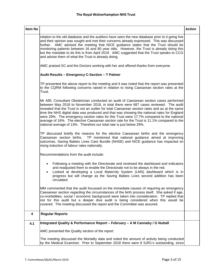| Item No |                                                                                                                                                                                                                                                                                                                                                                                                                                                                                                                                                                                                                                                     | <b>Action</b> |
|---------|-----------------------------------------------------------------------------------------------------------------------------------------------------------------------------------------------------------------------------------------------------------------------------------------------------------------------------------------------------------------------------------------------------------------------------------------------------------------------------------------------------------------------------------------------------------------------------------------------------------------------------------------------------|---------------|
|         | relation to the old database and the auditors have seen the new database prior to it going live<br>and their opinion was sought and met their concerns already expressed. This was discussed<br>further. AMC advised the meeting that NICE guidance states that the Trust should be<br>monitoring patients between 16 and 80 year olds. However, the Trust is already doing this<br>but the mandate to do this is from April 2019. AMC suggested that the Trust speaks to CCG<br>and advise them of what the Trust is already doing.                                                                                                                |               |
|         | AMC praised SC and the Doctors working with her and offered thanks from everyone.                                                                                                                                                                                                                                                                                                                                                                                                                                                                                                                                                                   |               |
|         | Audit Results - Emergency C-Section - T Palmer                                                                                                                                                                                                                                                                                                                                                                                                                                                                                                                                                                                                      |               |
|         | TP presented the above report to the meeting and it was noted that the report was presented<br>to the CQRM following concerns raised in relation to rising Caesarean section rates at the<br>Trust.                                                                                                                                                                                                                                                                                                                                                                                                                                                 |               |
|         | Mr Afifi, Consultant Obstetrician conducted an audit of Caesarean section cases performed<br>between May 2018 to November 2018, in total there were 687 cases reviewed. The audit<br>revealed that the Trust is not an outlier for total Caesarean section rates and as at the same<br>time the NHS digital data was produced and that was showing the national rates for England<br>were 29%. The emergency section rates for this Trust were 17.7% compared to the national<br>average of 16%. The elective Caesarean section rate for the Trust is 11.1% compared to the<br>national average of 13%. Therefore our total rate is just below 29%. |               |
|         | TP discussed briefly the reasons for the elective Caesarean births and the emergency<br>Caesarean section births.<br>TP mentioned that national guidance aimed at improving<br>outcomes, Saving Babies Lives Care Bundle (NHSE) and NICE guidance has impacted on<br>rising induction of labour rates nationally.                                                                                                                                                                                                                                                                                                                                   |               |
|         | Recommendations from the audit include:                                                                                                                                                                                                                                                                                                                                                                                                                                                                                                                                                                                                             |               |
|         | Following a meeting with the Directorate and reviewed the dashboard and indicators<br>and readjusted them to enable the Directorate not to be always in the red.<br>Looked at developing a Local Maternity System (LMS) dashboard which is in<br>progress but will change as the Saving Babies Lives second addition has been<br>circulated.                                                                                                                                                                                                                                                                                                        |               |
|         | MM commented that the audit focussed on the immediate causes of requiring an emergency<br>Caesarean section regarding the circumstances of the birth process itself. She asked if age,<br>co-morbidities, social / economic background were taken into consideration. TP replied that<br>not for this audit but a deeper dive audit is being considered when this would be<br>covered. The meeting discussed the report and the Committee was assured.                                                                                                                                                                                              |               |
| 4       | <b>Regular Reports</b>                                                                                                                                                                                                                                                                                                                                                                                                                                                                                                                                                                                                                              |               |
| 4.1     | Integrated Quality & Performance Report – February – A M Cannaby / G Nuttall                                                                                                                                                                                                                                                                                                                                                                                                                                                                                                                                                                        |               |
|         | AMC presented the Quality section of the report.                                                                                                                                                                                                                                                                                                                                                                                                                                                                                                                                                                                                    |               |
|         | The meeting discussed the Mortality data and noted the amount of activity being conducted<br>by the Medical Examiner. Prior to September 2018 there were 8 SJR1's outstanding, since                                                                                                                                                                                                                                                                                                                                                                                                                                                                |               |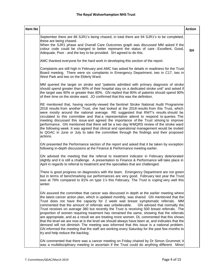| Item No |                                                                                                                                                                                                                                                                                                                                                                                                                                                                                                                                                                                                                                                                                                                                                                                                                                                                                                                                                                                                      | <b>Action</b> |
|---------|------------------------------------------------------------------------------------------------------------------------------------------------------------------------------------------------------------------------------------------------------------------------------------------------------------------------------------------------------------------------------------------------------------------------------------------------------------------------------------------------------------------------------------------------------------------------------------------------------------------------------------------------------------------------------------------------------------------------------------------------------------------------------------------------------------------------------------------------------------------------------------------------------------------------------------------------------------------------------------------------------|---------------|
|         | September there are 86 SJR1's being chased, in total there are 94 SJR1's to be completed,<br>these are being chased.<br>When the SJR1 phase and Overall Care Outcomes graph was discussed MM asked if the<br>colour code could be changed to better represent the status of care - Excellent, Good,<br>Adequate, Poor - and the key to be provided. SH agreed to do this.                                                                                                                                                                                                                                                                                                                                                                                                                                                                                                                                                                                                                            | <b>SH</b>     |
|         | AMC thanked everyone for the hard work in developing this section of the report.                                                                                                                                                                                                                                                                                                                                                                                                                                                                                                                                                                                                                                                                                                                                                                                                                                                                                                                     |               |
|         | Complaints are still high in February and AMC has asked for details in readiness for the Trust<br>Board meeting. There were six complaints in Emergency Department, two in C17, two in<br>West Park and two on the Elderly Ward.                                                                                                                                                                                                                                                                                                                                                                                                                                                                                                                                                                                                                                                                                                                                                                     |               |
|         | MM queried the target on stroke and "patients admitted with primary diagnosis of stroke<br>should spend greater than 90% of their hospital stay on a dedicated stroke unit" and asked if<br>the target was 90% or greater than 80%. GN replied that 80% of patients should spend 90%<br>of their time on the stroke ward. JO confirmed that this was the definition.                                                                                                                                                                                                                                                                                                                                                                                                                                                                                                                                                                                                                                 |               |
|         | RE mentioned that, having recently viewed the Sentinel Stroke National Audit Programme<br>2018 results from another Trust, she had looked at the 2018 results from this Trust, which<br>were mostly around the national average. RE suggested that RWT's results should be<br>circulated to this committee and that a representative attend to respond to queries. The<br>meeting discussed this issue and agreed the importance of the Trust striving to improve<br>performance. GN mentioned that there will be a two day WMQRS review of the stroke ward<br>the following week. It was agreed that clinical and operational management would be invited<br>to QGAC in June or July to take the committee through the findings and their proposed<br>actions.                                                                                                                                                                                                                                      |               |
|         | GN presented the Performance section of the report and asked that it be taken by exception<br>following in-depth discussions at the Finance & Performance meeting earlier.                                                                                                                                                                                                                                                                                                                                                                                                                                                                                                                                                                                                                                                                                                                                                                                                                           |               |
|         | GN advised the meeting that the referral to treatment indicator in February deteriorated<br>slightly and it is still a challenge. A presentation to Finance & Performance will take place in<br>April in regards to referral to treatment and the specialties that are challenged.                                                                                                                                                                                                                                                                                                                                                                                                                                                                                                                                                                                                                                                                                                                   |               |
|         | There is good progress on diagnostics with the team. Emergency Department are not green<br>but in terms of benchmarking our performances are very good. February last year the Trust<br>was at 76% compared to 81% on type 1's this February. The Trust is coping very well this<br>winter.                                                                                                                                                                                                                                                                                                                                                                                                                                                                                                                                                                                                                                                                                                          |               |
|         | GN assured the committee that cancer was discussed in depth at the earlier meeting where<br>the latest cancer action plan, which is updated monthly, was shared. GN mentioned that the<br>Trust does not have the capacity for 2 week wait breast symptomatic referrals. MM<br>commented that the amount of referrals was unbelievable.<br>GN advised that normally the<br>Trust receives on average 380 but recently the Trust is receiving 500 breast referrals. The<br>proportion of women requiring treatment has remained the same, showing that the referrals<br>are appropriate, and as a result we are treating more women. DL commented that this shows<br>that the level we are now at is the level we should always have been at, and indicates that the<br>demand will not diminish. The meeting was informed that this issue is a national problem.<br>GN informed the meeting that the staff are working every Saturday for the past few months to<br>try and help reduce the backlog. |               |
|         | GN commented that there was a cancer meeting on Friday chaired by Dr Simon Grummet; it<br>was a multidisciplinary meeting to ascertain if the Trust could do anything different. Minor                                                                                                                                                                                                                                                                                                                                                                                                                                                                                                                                                                                                                                                                                                                                                                                                               |               |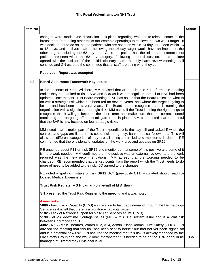| Item No |                                                                                                                                                                                                                                                                                                                                                                                                                                                                                                                                                                                                                                                                                                                                                                                                                                               | <b>Action</b> |
|---------|-----------------------------------------------------------------------------------------------------------------------------------------------------------------------------------------------------------------------------------------------------------------------------------------------------------------------------------------------------------------------------------------------------------------------------------------------------------------------------------------------------------------------------------------------------------------------------------------------------------------------------------------------------------------------------------------------------------------------------------------------------------------------------------------------------------------------------------------------|---------------|
|         | changes were made. One discussion took place regarding whether to release some of the<br>breast team from doing other tasks (for example operating) to achieve the two week target. It<br>was decided not to do so, as the patients who are not seen within 14 days are seen within 16<br>to 18 days, and to divert staff to achieving the 14 day target would have an impact on the<br>other targets including the 62 day one. Once the patient has the initial appointment most<br>patients are seen within the 62 day category. Following a brief discussion, the committee<br>agreed with the decision of the multidisciplinary team. Monthly harm review meetings still<br>continue and GN assured the committee that all staff are doing what they can.<br><b>Resolved: Report was accepted</b>                                         |               |
| 4.2     | <b>Board Assurance Framework Key Issues</b>                                                                                                                                                                                                                                                                                                                                                                                                                                                                                                                                                                                                                                                                                                                                                                                                   |               |
|         | In the absence of Keith Wilshere, MM advised that at the Finance & Performance meeting<br>earlier they had looked at risks SR8 and SR9 as it was recognised that all of BAF had been<br>updated since the last Trust Board meeting. F&P has asked that the Board reflect on what to<br>do with a strategic risk which has been red for several years, and where the target is going to<br>be red and has been for several years. The Board has to recognise that it is running the<br>organisation with a significant strategic risk. MM asked if the Trust is doing the right things to<br>recognise that it will get better in the short term and make sure that the correct control<br>monitoring and on-going efforts to mitigate it are in place. MM commented that it is useful<br>that the BAF is now focused on four strategic risks. |               |
|         | MM noted that a major part of the Trust expenditure is the pay bill and asked if when the<br>controls and gaps are listed if this could include agency, bank, medical fellows etc. This will<br>allow the different categories of pay are all being controlled and monitored in-depth. RE<br>commented that there is plenty of updates on the workforce and updates on SR12.                                                                                                                                                                                                                                                                                                                                                                                                                                                                  |               |
|         | RE enquired about P11 on risk SR12 and mentioned that some of it is positive and some of it<br>is more work needed. MM confirmed that the positive was an external reviewer and the work<br>required was the new recommendations. MM agreed that the wording needed to be<br>changed. RE recommended that the key points from the report which the Trust needs to do<br>more of need to be added to the risk. JO agreed to the changes.                                                                                                                                                                                                                                                                                                                                                                                                       |               |
|         | RE noted a spelling mistake on risk $SR12$ GC4 (previously C11) – collated should read co-<br>located Medical Examiners.                                                                                                                                                                                                                                                                                                                                                                                                                                                                                                                                                                                                                                                                                                                      |               |
|         | Trust Risk Register - S Hickman (on behalf of M Arthur)                                                                                                                                                                                                                                                                                                                                                                                                                                                                                                                                                                                                                                                                                                                                                                                       |               |
|         | SH presented the Trust Risk Register to the meeting and it was noted:                                                                                                                                                                                                                                                                                                                                                                                                                                                                                                                                                                                                                                                                                                                                                                         |               |
|         | 4 new risks:<br>5069 - Fast Track Capacity (COO) – in relation to fast track demand through the Dermatology<br>Service as it is felt that there is a workforce capacity issue.<br>5182 - Lack of Network support for Vascular Services at RWT (MD)<br>5190 - ePMA downtime / outage issues (MD) – this is a system issue and is a joint risk<br>between Pharmacy and IT.<br>4382 - NX55 Main Theatres, Wards A12, A14, Admin, Plant Rooms - Fire Safety (COO) - GN<br>advised the meeting that this risk had been sent to herself but had not yet been signed off<br>and is a potential new risk. GN assured the meeting that this risk is actively managed by the<br>Fire Safety Group and she would look into whether it is needed to be on the TRR or could be<br>managed at Directorate / Divisional level.                               | <b>GN</b>     |
|         |                                                                                                                                                                                                                                                                                                                                                                                                                                                                                                                                                                                                                                                                                                                                                                                                                                               |               |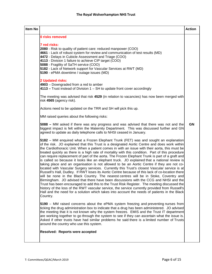| Item No |                                                                                                                                                                                                                                                                                                                                                                                                                                                                                                                                                                                                                                                                                                                                                                                                                                                                                                                                                                                                                                                                                                                                                                                                                                                                                                                                                                                              | <b>Action</b> |
|---------|----------------------------------------------------------------------------------------------------------------------------------------------------------------------------------------------------------------------------------------------------------------------------------------------------------------------------------------------------------------------------------------------------------------------------------------------------------------------------------------------------------------------------------------------------------------------------------------------------------------------------------------------------------------------------------------------------------------------------------------------------------------------------------------------------------------------------------------------------------------------------------------------------------------------------------------------------------------------------------------------------------------------------------------------------------------------------------------------------------------------------------------------------------------------------------------------------------------------------------------------------------------------------------------------------------------------------------------------------------------------------------------------|---------------|
|         | 0 risks removed<br>7 red risks:<br>2080 - Risk to quality of patient care: reduced manpower (COO)<br>4661 - Lack of robust system for review and communication of test results (MD)<br>4472 - Delays in Cubicle Assessment and Triage (COO)<br>4113 - Division 1 failure to achieve CIP target (COO)<br>5088 - Fragility of SaTH service (COO)<br>5182 - Lack of Network support for Vascular Services at RWT (MD)<br>5190 - ePMA downtime / outage issues (MD)<br>2 Updated risks:<br>4903 - Downgraded from a red to amber<br>$4113$ – Trust instead of Division 1 – SH to update front cover accordingly<br>The meeting was advised that risk 4529 (in relation to vacancies) has now been merged with<br>risk 4565 (agency risk).<br>Actions need to be updated on the TRR and SH will pick this up.                                                                                                                                                                                                                                                                                                                                                                                                                                                                                                                                                                                     |               |
|         | MM raised queries about the following risks:                                                                                                                                                                                                                                                                                                                                                                                                                                                                                                                                                                                                                                                                                                                                                                                                                                                                                                                                                                                                                                                                                                                                                                                                                                                                                                                                                 |               |
|         | 5088 – MM asked if there was any progress and was advised that there was not and the<br>biggest impact is felt within the Maternity Department. This was discussed further and GN<br>agreed to update as daily telephone calls to NHSI ceased in January.                                                                                                                                                                                                                                                                                                                                                                                                                                                                                                                                                                                                                                                                                                                                                                                                                                                                                                                                                                                                                                                                                                                                    | <b>GN</b>     |
|         | 5182 - MM enquired what a Frozen Elephant Trunk (FET) was and sought an explanation<br>of the risk. JO explained that this Trust is a designated Aortic Centre and does work within<br>the Cardiothoracic Unit. When a patient comes in with an issue with their aorta, this must be<br>treated quickly as there is a high rate of mortality with this condition. Part of this procedure<br>can require replacement of part of the aorta. The Frozen Elephant Trunk is part of a graft and<br>is called so because it looks like an elephant truck. JO explained that a national review is<br>taking place and an organisation is not allowed to be an Aortic Centre if they are not co-<br>located with Vascular Surgery services. Currently this Trust's closest Vascular service is at<br>Russell's Hall, Dudley. If RWT loses its Aortic Centre because of this lack of co-location there<br>will be none in the Black Country. The nearest centres will be in Stoke, Coventry and<br>Birmingham. JO advised that there have been discussions with the CCG and NHSI and the<br>Trust has been encouraged to add this to the Trust Risk Register. The meeting discussed the<br>history of the loss of the RWT vascular service, the service currently provided from Russell's<br>Hall and the need for a solution which takes into account the needs of patients in the Black<br>Country. |               |
|         | 5190 – MM raised concerns about the ePMA system freezing and preventing nurses from<br>ticking the drug administration box to indicate that a drug has been administered. JO advised<br>the meeting that it is not known why the system freezes. EMIS and the Trust IT department<br>are working together to go through the system to see if they can ascertain what the issue is.<br>Asked if other trusts have had similar problems he said there is a limited number of Trusts<br>around the country who use this system.                                                                                                                                                                                                                                                                                                                                                                                                                                                                                                                                                                                                                                                                                                                                                                                                                                                                 |               |
|         | Resolved: Reports were accepted                                                                                                                                                                                                                                                                                                                                                                                                                                                                                                                                                                                                                                                                                                                                                                                                                                                                                                                                                                                                                                                                                                                                                                                                                                                                                                                                                              |               |
|         |                                                                                                                                                                                                                                                                                                                                                                                                                                                                                                                                                                                                                                                                                                                                                                                                                                                                                                                                                                                                                                                                                                                                                                                                                                                                                                                                                                                              |               |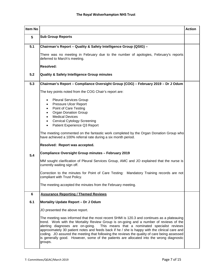| Item No         |                                                                                                                                                                                                                                                                                                                                                                                                                                                                                                                                                                                | <b>Action</b> |
|-----------------|--------------------------------------------------------------------------------------------------------------------------------------------------------------------------------------------------------------------------------------------------------------------------------------------------------------------------------------------------------------------------------------------------------------------------------------------------------------------------------------------------------------------------------------------------------------------------------|---------------|
| $5\phantom{.0}$ | <b>Sub Group Reports</b>                                                                                                                                                                                                                                                                                                                                                                                                                                                                                                                                                       |               |
| 5.1             | Chairman's Report - Quality & Safety Intelligence Group (QSIG) -                                                                                                                                                                                                                                                                                                                                                                                                                                                                                                               |               |
|                 | There was no meeting in February due to the number of apologies, February's reports<br>deferred to March's meeting.                                                                                                                                                                                                                                                                                                                                                                                                                                                            |               |
|                 | <b>Resolved:</b>                                                                                                                                                                                                                                                                                                                                                                                                                                                                                                                                                               |               |
| 5.2             | Quality & Safety Intelligence Group minutes                                                                                                                                                                                                                                                                                                                                                                                                                                                                                                                                    |               |
| 5.3             | Chairman's Report - Compliance Oversight Group (COG) - February 2019 - Dr J Odum                                                                                                                                                                                                                                                                                                                                                                                                                                                                                               |               |
|                 | The key points noted from the COG Chair's report are:                                                                                                                                                                                                                                                                                                                                                                                                                                                                                                                          |               |
|                 | <b>Pleural Services Group</b><br>$\bullet$<br>Pressure Ulcer Report<br>$\bullet$<br>Point of Care Testing<br>$\bullet$<br><b>Organ Donation Group</b><br>$\bullet$<br><b>Medical Devices</b><br>$\bullet$<br><b>Cervical Cytology Screening</b><br>$\bullet$<br>Patient Experience Q3 Report<br>$\bullet$                                                                                                                                                                                                                                                                      |               |
|                 | The meeting commented on the fantastic work completed by the Organ Donation Group who<br>have achieved a 100% referral rate during a six month period.                                                                                                                                                                                                                                                                                                                                                                                                                         |               |
|                 | Resolved: Report was accepted.                                                                                                                                                                                                                                                                                                                                                                                                                                                                                                                                                 |               |
| 5.4             | Compliance Oversight Group minutes - February 2019                                                                                                                                                                                                                                                                                                                                                                                                                                                                                                                             |               |
|                 | MM sought clarification of Pleural Services Group, AMC and JO explained that the nurse is<br>currently waiting sign off.                                                                                                                                                                                                                                                                                                                                                                                                                                                       |               |
|                 | Correction to the minutes for Point of Care Testing: Mandatory Training records are not<br>compliant with Trust Policy.                                                                                                                                                                                                                                                                                                                                                                                                                                                        |               |
|                 | The meeting accepted the minutes from the February meeting.                                                                                                                                                                                                                                                                                                                                                                                                                                                                                                                    |               |
| 6               | <b>Assurance Reporting / Themed Reviews</b>                                                                                                                                                                                                                                                                                                                                                                                                                                                                                                                                    |               |
| 6.1             | Mortality Update Report - Dr J Odum                                                                                                                                                                                                                                                                                                                                                                                                                                                                                                                                            |               |
|                 | JO presented the above report.                                                                                                                                                                                                                                                                                                                                                                                                                                                                                                                                                 |               |
|                 | The meeting was informed that the most recent SHMI is 120.3 and continues as a plateauing<br>trend. Work with the Mortality Review Group is on-going and a number of reviews of the<br>alerting diagnoses are on-going. This means that a nominated specialist reviews<br>approximately 30 patient notes and feeds back if he / she is happy with the clinical care and<br>coding. JO assured the meeting that following the reviews the quality of care being assessed<br>is generally good. However, some of the patients are allocated into the wrong diagnostic<br>groups. |               |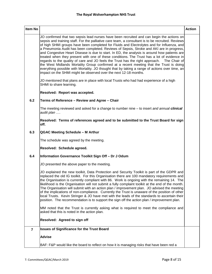| Item No        |                                                                                                                                                                                                                                                                                                                                                                                                                                                                                                                                                                                                                                                                                                                                                                                                                                                                                                                                                                                                                                                  | <b>Action</b> |
|----------------|--------------------------------------------------------------------------------------------------------------------------------------------------------------------------------------------------------------------------------------------------------------------------------------------------------------------------------------------------------------------------------------------------------------------------------------------------------------------------------------------------------------------------------------------------------------------------------------------------------------------------------------------------------------------------------------------------------------------------------------------------------------------------------------------------------------------------------------------------------------------------------------------------------------------------------------------------------------------------------------------------------------------------------------------------|---------------|
|                | JO confirmed that two sepsis lead nurses have been recruited and can begin the actions on<br>sepsis and training staff. For the palliative care team, a consultant is to be recruited. Reviews<br>of high SHMI groups have been completed for Fluids and Electrolytes and for Influenza, and<br>a Pneumonia Audit has been completed. Reviews of Sepsis, Stroke and AKI are in progress,<br>and Congestive Heart Disease is due to start. In ED, the analysis is around how patients are<br>treated when they present with one of these conditions. The Trust has a lot of evidence in<br>regards to the quality of care and JO feels the Trust has the right approach. The Chair of<br>the West Midlands Mortality Group confirmed at a recent meeting that the Trust is doing<br>everything possible with Mortality. JO thought that by taking a range of actions over time, an<br>impact on the SHMI might be observed over the next 12-18 months.<br>JO mentioned that plans are in place with local Trusts who had had experience of a high |               |
|                | SHMI to share learning.<br>Resolved: Report was accepted.                                                                                                                                                                                                                                                                                                                                                                                                                                                                                                                                                                                                                                                                                                                                                                                                                                                                                                                                                                                        |               |
| 6.2            | Terms of Reference - Review and Agree - Chair                                                                                                                                                                                                                                                                                                                                                                                                                                                                                                                                                                                                                                                                                                                                                                                                                                                                                                                                                                                                    |               |
|                | The meeting reviewed and asked for a change to number nine - to insert and annual clinical<br>audit plan                                                                                                                                                                                                                                                                                                                                                                                                                                                                                                                                                                                                                                                                                                                                                                                                                                                                                                                                         |               |
|                | Resolved: Terms of references agreed and to be submitted to the Trust Board for sign<br>off.                                                                                                                                                                                                                                                                                                                                                                                                                                                                                                                                                                                                                                                                                                                                                                                                                                                                                                                                                     |               |
| 6.3            | QGAC Meeting Schedule - M Arthur                                                                                                                                                                                                                                                                                                                                                                                                                                                                                                                                                                                                                                                                                                                                                                                                                                                                                                                                                                                                                 |               |
|                | The schedule was agreed by the meeting.                                                                                                                                                                                                                                                                                                                                                                                                                                                                                                                                                                                                                                                                                                                                                                                                                                                                                                                                                                                                          |               |
|                | Resolved: Schedule agreed.                                                                                                                                                                                                                                                                                                                                                                                                                                                                                                                                                                                                                                                                                                                                                                                                                                                                                                                                                                                                                       |               |
| 6.4            | Information Governance Toolkit Sign Off - Dr J Odum                                                                                                                                                                                                                                                                                                                                                                                                                                                                                                                                                                                                                                                                                                                                                                                                                                                                                                                                                                                              |               |
|                | JO presented the above paper to the meeting.                                                                                                                                                                                                                                                                                                                                                                                                                                                                                                                                                                                                                                                                                                                                                                                                                                                                                                                                                                                                     |               |
|                | JO explained the new toolkit, Data Protection and Security Toolkit is part of the GDPR and<br>replaced the old IG toolkit. For this Organisation there are 100 mandatory requirements and<br>the Organisation is currently compliant with 86. Work is ongoing with the remaining 14. The<br>likelihood is the Organisation will not submit a fully complaint toolkit at the end of the month.<br>The Organisation will submit with an action plan / improvement plan. JO advised the meeting<br>of the implications of non-compliance. Currently the Trust is unaware of the position of other<br>local Trusts. Kevin Stringer & JO have met with the leads of the standards to ascertain their<br>position. The recommendation is to support the sign off the action plan / improvement plan.                                                                                                                                                                                                                                                   |               |
|                | MM noted that the Trust is currently asking what is required to meet the compliance and<br>asked that this is noted in the action plan.                                                                                                                                                                                                                                                                                                                                                                                                                                                                                                                                                                                                                                                                                                                                                                                                                                                                                                          |               |
|                | Resolved: Agreed to sign off                                                                                                                                                                                                                                                                                                                                                                                                                                                                                                                                                                                                                                                                                                                                                                                                                                                                                                                                                                                                                     |               |
| $\overline{7}$ | <b>Issues of Significance for the Trust Board</b>                                                                                                                                                                                                                                                                                                                                                                                                                                                                                                                                                                                                                                                                                                                                                                                                                                                                                                                                                                                                |               |
|                | <b>Advise</b>                                                                                                                                                                                                                                                                                                                                                                                                                                                                                                                                                                                                                                                                                                                                                                                                                                                                                                                                                                                                                                    |               |
|                | BAF: F&P would like the board to reflect on how it is managing risks that have been red a                                                                                                                                                                                                                                                                                                                                                                                                                                                                                                                                                                                                                                                                                                                                                                                                                                                                                                                                                        |               |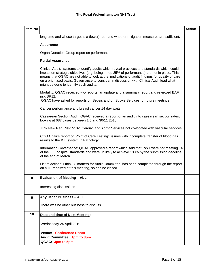| <b>Item No</b> |                                                                                                                                                                                                                                                                                                                                                                                                                                       | <b>Action</b> |
|----------------|---------------------------------------------------------------------------------------------------------------------------------------------------------------------------------------------------------------------------------------------------------------------------------------------------------------------------------------------------------------------------------------------------------------------------------------|---------------|
|                | long time and whose target is a (lower) red, and whether mitigation measures are sufficient.                                                                                                                                                                                                                                                                                                                                          |               |
|                | <b>Assurance</b>                                                                                                                                                                                                                                                                                                                                                                                                                      |               |
|                | Organ Donation Group report on performance                                                                                                                                                                                                                                                                                                                                                                                            |               |
|                | <b>Partial Assurance</b>                                                                                                                                                                                                                                                                                                                                                                                                              |               |
|                | Clinical Audit: systems to identify audits which reveal practices and standards which could<br>impact on strategic objectives (e.g. being in top 25% of performance) are not in place. This<br>means that QGAC are not able to look at the implications of audit findings for quality of care<br>on a prioritised basis. Governance to consider in discussion with Clinical Audit lead what<br>might be done to identify such audits. |               |
|                | Mortality: QGAC received two reports, an update and a summary report and reviewed BAF<br>risk SR12.                                                                                                                                                                                                                                                                                                                                   |               |
|                | QGAC have asked for reports on Sepsis and on Stroke Services for future meetings.                                                                                                                                                                                                                                                                                                                                                     |               |
|                | Cancer performance and breast cancer 14 day waits                                                                                                                                                                                                                                                                                                                                                                                     |               |
|                | Caesarean Section Audit: QGAC received a report of an audit into caesarean section rates,<br>looking at 687 cases between 1/5 and 30/11 2018.                                                                                                                                                                                                                                                                                         |               |
|                | TRR New Red Risk: 5182: Cardiac and Aortic Services not co-located with vascular services                                                                                                                                                                                                                                                                                                                                             |               |
|                | COG Chair's report on Point of Care Testing: issues with incomplete transfer of blood gas<br>results to the ICE system in Pathology.                                                                                                                                                                                                                                                                                                  |               |
|                | Information Governance: QGAC approved a report which said that RWT were not meeting 14<br>of the 100 hospital standards and were unlikely to achieve 100% by the submission deadline<br>of the end of March.                                                                                                                                                                                                                          |               |
|                | List of actions: I think 7, matters for Audit Committee, has been completed through the report<br>on VTE received at this meeting, so can be closed.                                                                                                                                                                                                                                                                                  |               |
| 8              | <b>Evaluation of Meeting - ALL</b>                                                                                                                                                                                                                                                                                                                                                                                                    |               |
|                | Interesting discussions                                                                                                                                                                                                                                                                                                                                                                                                               |               |
| 9              | Any Other Business - ALL                                                                                                                                                                                                                                                                                                                                                                                                              |               |
|                | There was no other business to discuss.                                                                                                                                                                                                                                                                                                                                                                                               |               |
| 10             | Date and time of Next Meeting:                                                                                                                                                                                                                                                                                                                                                                                                        |               |
|                | Wednesday 24 April 2019                                                                                                                                                                                                                                                                                                                                                                                                               |               |
|                | <b>Venue: Conference Room</b>                                                                                                                                                                                                                                                                                                                                                                                                         |               |
|                | Audit Committee: 1pm to 3pm<br>QGAC: 3pm to 5pm                                                                                                                                                                                                                                                                                                                                                                                       |               |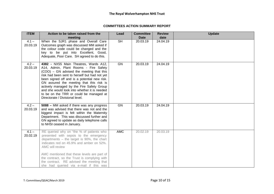## **COMMITTEES ACTION SUMMARY REPORT**

| <b>ITEM</b>         | Action to be taken raised from the<br>meeting                                                                                                                                                                                                                                                                                                                                                                                                      | Lead                     | <b>Committee</b><br><b>Date</b> | <b>Review</b><br>date | <b>Update</b> |
|---------------------|----------------------------------------------------------------------------------------------------------------------------------------------------------------------------------------------------------------------------------------------------------------------------------------------------------------------------------------------------------------------------------------------------------------------------------------------------|--------------------------|---------------------------------|-----------------------|---------------|
| $4.1 -$<br>20.03.19 | When the SJR1 phase and Overall Care<br>Outcomes graph was discussed MM asked if<br>the colour code could be changed and the<br>key to be put into Excellent, Good,<br>Adequate, Poor Care. SH agreed to do this.                                                                                                                                                                                                                                  | $\overline{\mathsf{SH}}$ | 20.03.19                        | 24.04.19              |               |
| $4.2 -$<br>20.03.19 | 4382 - NX55 Main Theatres, Wards A12,<br>A14, Admin, Plant Rooms - Fire Safety<br>(COO) - GN advised the meeting that this<br>risk had been sent to herself but had not yet<br>been signed off and is a potential new risk.<br>GN assured the meeting that this risk is<br>actively managed by the Fire Safety Group<br>and she would look into whether it is needed<br>to be on the TRR or could be managed at<br>Directorate / Divisional level. | GN                       | 20.03.19                        | 24.04.19              |               |
| $4.2 -$<br>20.03.19 | 5088 - MM asked if there was any progress<br>and was advised that there was not and the<br>biggest impact is felt within the Maternity<br>Department. This was discussed further and<br>GN agreed to update as daily telephone calls<br>to NHSI ceased in January.                                                                                                                                                                                 | GN                       | 20.03.19                        | 24.04.19              |               |
| $4.1 -$<br>20.02.19 | RE queried why on "the % of patients who<br>presented with sepsis to the emergency<br>departments $-$ the target is 90%, the chart<br>indicates red on 45.9% and amber on 52%.<br><b>AMC will review</b><br>AMC mentioned that these levels are part of<br>the contract, so the Trust is complying with<br>the contract. RE advised the meeting that<br>she had queried via e-mail if this was                                                     | <b>AMC</b>               | 20.02.19                        | 20.03.19              |               |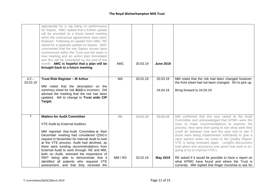|                     | appropriate for a rag rating on performance<br>for Sepsis. AMC replied that a further update<br>will be provided at a future board meeting<br>when the contractual agreements have been<br>finalised. Following an update from AMC, RE<br>asked for a separate update on Sepsis. AMC<br>commented that the two Sepsis nurses have<br>commenced within the Trust and the team is<br>now meeting and an action plan formulated<br>and this will be completed by the end of the<br>month. AMC is hopeful that a plan will be<br>brought back to a future meeting. | <b>AMC</b> | 20.03.19 | <b>June 2019</b> |                                                                                                                                                                                                                                                                                                                                                                                                                                                                                                                   |
|---------------------|----------------------------------------------------------------------------------------------------------------------------------------------------------------------------------------------------------------------------------------------------------------------------------------------------------------------------------------------------------------------------------------------------------------------------------------------------------------------------------------------------------------------------------------------------------------|------------|----------|------------------|-------------------------------------------------------------------------------------------------------------------------------------------------------------------------------------------------------------------------------------------------------------------------------------------------------------------------------------------------------------------------------------------------------------------------------------------------------------------------------------------------------------------|
| $4.2 -$<br>20.02.19 | Trust Risk Register - M Arthur                                                                                                                                                                                                                                                                                                                                                                                                                                                                                                                                 | <b>MA</b>  | 20.02.19 | 20.03.19         | MM noted that the risk had been changed however;<br>the front sheet had not been changed. SH to pick up.                                                                                                                                                                                                                                                                                                                                                                                                          |
|                     | MM noted that the description on the<br>summary sheet for risk 4113 is incorrect. GN<br>advised the meeting that the risk has been<br>updated. MA to change to Trust wide CIP<br>Target.                                                                                                                                                                                                                                                                                                                                                                       |            |          | 24.04.19         | Bring forward to 24.04.19                                                                                                                                                                                                                                                                                                                                                                                                                                                                                         |
| $\overline{7}$      | <b>Matters for Audit Committee</b><br><b>VTE Audit by External Auditors</b><br>MM reported that Audit Committee at their<br>December meeting had considered QSIG's<br>request in November for Internal Audit to look<br>at the VTE process. Audit had declined, as<br>there were existing recommendations from<br>External Audit to work through. RE and MM,<br>both on Audit, stressed the importance of                                                                                                                                                      | <b>RE</b>  | 23.01.19 | 20,02.19         | MM confirmed that this was raised at the Audit<br>Committee and acknowledged that KPMG were the<br>ones to make recommendations to improve the<br>process, they were then going to see what work they<br>could do between now and the year end to see if<br>those were being implemented sufficiently to give a<br>clear opinion when we come to the Quality Report.<br>VTE is being reviewed again. Lengthy discussions<br>took place and assurance was given that work is on-<br>going to try to improve VTE's. |
|                     | RWT being able to demonstrate that it<br>identified all patients who required VTE<br>assessment, and that they received the                                                                                                                                                                                                                                                                                                                                                                                                                                    | MM / RD    | 20.02.19 | <b>May 2019</b>  | RE asked if it would be possible to have a report on<br>what KPMG have found and where the Trust is<br>currently. MM replied that Roger Dunshea to ask for                                                                                                                                                                                                                                                                                                                                                        |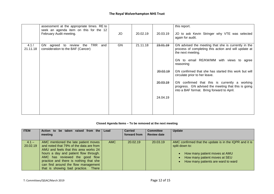|                   | assessment at the appropriate times. RE to                                                 |    |          |          | this report.                                                                                                                                                                              |
|-------------------|--------------------------------------------------------------------------------------------|----|----------|----------|-------------------------------------------------------------------------------------------------------------------------------------------------------------------------------------------|
|                   | seek an agenda item on this for the 12<br>February Audit meeting.                          | JO | 20.02.19 | 20.03.19 | JO to ask Kevin Stringer why VTE was selected<br>again for audit.                                                                                                                         |
| 4.1 /<br>21.11.18 | <b>TRR</b><br>GN<br>and<br>review<br>the<br>agreed to<br>consideration to the BAF (Cancer) | GN | 21.11.18 | 23.01.19 | GN advised the meeting that she is currently in the<br>process of completing this action and will update at<br>the next meeting.<br>GN to email RE/KW/MM with views to agree<br>reasoning |
|                   |                                                                                            |    |          | 20.02.19 | GN confirmed that she has started this work but will<br>circulate prior to her leave.                                                                                                     |
|                   |                                                                                            |    |          | 20.03.19 | GN confirmed that this is currently a working<br>progress. GN advised the meeting that this is going<br>into a BAF format. Bring forward to April.                                        |
|                   |                                                                                            |    |          | 24.04.19 |                                                                                                                                                                                           |
|                   |                                                                                            |    |          |          |                                                                                                                                                                                           |

## **Closed Agenda Items – To be removed at the next meeting**

| <b>ITEM</b>         | Action to be taken raised from the                                                                                                                                                                                                                                                                                                    | Lead       | <b>Carried</b> | <b>Committee</b>   | <b>Update</b>                                                                                                                                                                    |
|---------------------|---------------------------------------------------------------------------------------------------------------------------------------------------------------------------------------------------------------------------------------------------------------------------------------------------------------------------------------|------------|----------------|--------------------|----------------------------------------------------------------------------------------------------------------------------------------------------------------------------------|
|                     | meeting                                                                                                                                                                                                                                                                                                                               |            | forward from   | <b>Review date</b> |                                                                                                                                                                                  |
| $4.1 -$<br>20.02.19 | AMC mentioned the late patient moves<br>and noted that 79% of the data are from<br>AMU and feels that this area works 24<br>hours a day and patient flow through.<br>AMC has reviewed the good flow<br>practice and there is nothing that she<br>can find around the flow management<br>that is showing bad practice.<br><b>There</b> | <b>AMC</b> | 20.02.19       | 20.03.19           | AMC confirmed that the update is in the IQPR and it is<br>split down to:<br>How many patient moves at AMU<br>How many patient moves at SEU<br>How many patients are ward to ward |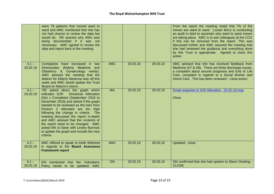|                     | were 79 patients that moved ward to<br>ward and AMC mentioned that she has<br>not had chance to review the data but<br>would do. RE queried why AMU was<br>being documented if it was not<br>necessary. AMC agreed to review the<br>data and report back to the meeting.                                                                                                                                                                                                                                   |            |          |          | From the report the meeting noted that 7% of the<br>moves are ward to ward. Louise Berry is conducting<br>an audit in April to ascertain why ward to ward moves<br>are taking place. AMC is to ask colleagues at the CCG<br>if this can be removed from the report. This was<br>discussed further and AMC assured the meeting that<br>she had reviewed the guidance and everything done<br>by this Trust is appropriate. Agreed to close this<br>action. |
|---------------------|------------------------------------------------------------------------------------------------------------------------------------------------------------------------------------------------------------------------------------------------------------------------------------------------------------------------------------------------------------------------------------------------------------------------------------------------------------------------------------------------------------|------------|----------|----------|----------------------------------------------------------------------------------------------------------------------------------------------------------------------------------------------------------------------------------------------------------------------------------------------------------------------------------------------------------------------------------------------------------------------------------------------------------|
| $4.1 -$<br>20.02.19 | Complaints have increased in two<br>Directorates (Elderly Medicine and<br>Obstetrics & Gynaecology wards).<br>AMC advised the meeting that the<br>Matron for Elderly Medicine was off this<br>week and AMC would update the Trust<br>Board on Matron's return.                                                                                                                                                                                                                                             | <b>AMC</b> | 20.02.19 | 20.03.19 | AMC advised that she has received feedback from<br>Medicine (A7 & A8). There are three discharge issues,<br>a complaint about around prognosis and End of Life<br>Care, complaint in regards to a Social Worker and<br>Home Care. This has been reviewed - close action.                                                                                                                                                                                 |
| $4.1 -$<br>20.02.19 | RE asked about the graph which<br>indicates SJR:<br>Divisional Allocation<br>(No) v Completed (September 2018 to<br>December 2018) and asked if the graph<br>needed to be reviewed as the bars from<br>Division 2 Allocated are too high<br>following the change in criteria. The<br>meeting discussed the report in-depth<br>and AMC advised that the contents of<br>the report need to be changed. AMC<br>asked MA to liaise with Lesley Burrows<br>to update the graph and include the new<br>criteria. | <b>MA</b>  | 20.02.19 | 20.03.19 | Email response to SJR Allocation - 22.02.19.msg<br><b>Close</b>                                                                                                                                                                                                                                                                                                                                                                                          |
| $4.2 -$<br>20.02.19 | AMC offered to speak to Keith Wilshere<br>in regards to the Board Assurance<br><b>Framework report</b>                                                                                                                                                                                                                                                                                                                                                                                                     | <b>AMC</b> | 20.02.19 | 20.03.19 | Updated - close                                                                                                                                                                                                                                                                                                                                                                                                                                          |
| $6.1 -$<br>20.02.19 | GN mentioned that the Volunteers<br>Policy needs to be updated; AMC                                                                                                                                                                                                                                                                                                                                                                                                                                        | <b>GN</b>  | 20.02.19 | 20.03.19 | GN confirmed that she had spoken to Alison Dowling -<br><b>CLOSE</b>                                                                                                                                                                                                                                                                                                                                                                                     |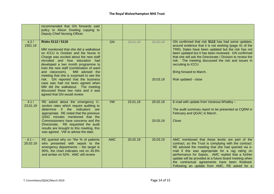|                     | recommended that GN forwards said<br>policy to Alison Dowling copying to<br>Deputy Chief Nursing Officer.                                                                                                                                                                                                                                                                                                                                                                                                                                        |            |          |                      |                                                                                                                                                                                                                                                                                                                                                                                                                                        |
|---------------------|--------------------------------------------------------------------------------------------------------------------------------------------------------------------------------------------------------------------------------------------------------------------------------------------------------------------------------------------------------------------------------------------------------------------------------------------------------------------------------------------------------------------------------------------------|------------|----------|----------------------|----------------------------------------------------------------------------------------------------------------------------------------------------------------------------------------------------------------------------------------------------------------------------------------------------------------------------------------------------------------------------------------------------------------------------------------|
| 4.2/<br>2301.19     | <b>Risks 5112 / 5116</b><br>MM mentioned that she did a walkabout<br>on ICCU in October and the Nurse in<br>Charge was excited about the new staff<br>recruited and how education had<br>developed a two month programme to<br>train the new staff (combination of ward<br>and classroom).<br>MM advised the<br>meeting that she is surprised to see the<br>risk. GN reported that the business<br>case was had not been agreed when<br>MM did the walkabout. The meeting<br>discussed these two risks and it was<br>agreed that GN would review | <b>GN</b>  | 23.01.19 | 20.02.19<br>20.03.19 | GN confirmed that risk 5112 has had some updates,<br>around evidence that it is not working (page 41 of the<br>TRR). Dates have been updated but the risk has not<br>been updated but it has been reviewed. GN confirmed<br>that she will ask the Directorate / Division to review the<br>risk. The meeting discussed the risk and issues in<br>recruiting to ICCU<br>Bring forward to March.<br>Risk updated - close                  |
| 4.1 /<br>23.01.19   | RE asked about the emergency C-<br>section rates which require auditing to<br>if the indicators<br>determine<br>are<br>appropriate. RE noted that the previous<br>QSIG minutes mentioned that the<br>Commissioners have concerns and the<br>Directorate. RE requested the audit<br>results are brought to this meeting, this<br>was agreed. VW to advise the date.                                                                                                                                                                               | <b>VW</b>  | 23.01.19 | 20.02.19<br>20.03.19 | E-mail with update from Vanessa Whatley -<br>The audit summary report to be presented at CQRM in<br>February and QGAC in March.<br>Close                                                                                                                                                                                                                                                                                               |
| $4.1 -$<br>20.02.19 | RE queried why on "the % of patients<br>who presented with sepsis to the<br>emergency departments - the target is<br>90%, the chart indicates red on 45.9%<br>and amber on 52%. AMC will review                                                                                                                                                                                                                                                                                                                                                  | <b>AMC</b> | 20.02.19 | 20.03.19             | AMC mentioned that these levels are part of the<br>contract, so the Trust is complying with the contract.<br>RE advised the meeting that she had queried via e-<br>mail if this was appropriate for a rag rating on<br>performance for Sepsis. AMC replied that a further<br>update will be provided at a future board meeting when<br>the contractual agreements have been finalised.<br>Following an update from AMC, RE asked for a |